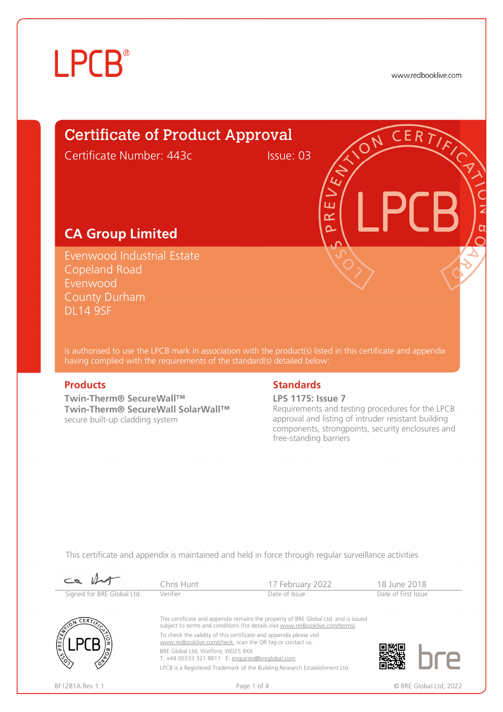# **LPCB**®

www.redbooklive.com

### Certificate of Product Approval

Certificate Number: 443c Issue: 03

ய œ  $\overline{\mathbf{C}}$ 

#### **CA Group Limited**

Evenwood Industrial Estate Copeland Road Evenwood County Durham DL14 9SF

is authorised to use the LPCB mark in association with the product(s) listed in this certificate and appendix having complied with the requirements of the standard(s) detailed below:

**Twin-Therm® SecureWall™ Twin-Therm® SecureWall SolarWall™**  secure built-up cladding system

#### **Products** Standards **Standards**

**LPS 1175: Issue 7**

Requirements and testing procedures for the LPCB approval and listing of intruder resistant building components, strongpoints, security enclosures and free-standing barriers

This certificate and appendix is maintained and held in force through regular surveillance activities

| $\sim$                     | Chris Hunt                                                                                     | 17 February 2022                                                                                                                                                      | 18 June 2018        |                        |
|----------------------------|------------------------------------------------------------------------------------------------|-----------------------------------------------------------------------------------------------------------------------------------------------------------------------|---------------------|------------------------|
| Signed for BRE Global Ltd. | Verifier                                                                                       | Date of Issue                                                                                                                                                         | Date of First Issue |                        |
| ERT/k                      | To check the validity of this certificate and appendix please visit                            | This certificate and appendix remains the property of BRE Global Ltd. and is issued<br>subject to terms and conditions (for details visit www.redbooklive.com/terms). |                     |                        |
| PREVENT                    | www.redbooklive.com/check, scan the QR tag or contact us.<br>BRE Global Ltd, Watford, WD25 9XX |                                                                                                                                                                       |                     |                        |
|                            | T: +44 (0)333 321 8811 E: enquiries@breglobal.com                                              |                                                                                                                                                                       |                     |                        |
|                            |                                                                                                | LPCB is a Registered Trademark of the Building Research Establishment Ltd.                                                                                            |                     |                        |
| BF1281A Rev. 1.1           | Page 1 of 4                                                                                    |                                                                                                                                                                       |                     | © BRE Global Ltd. 2022 |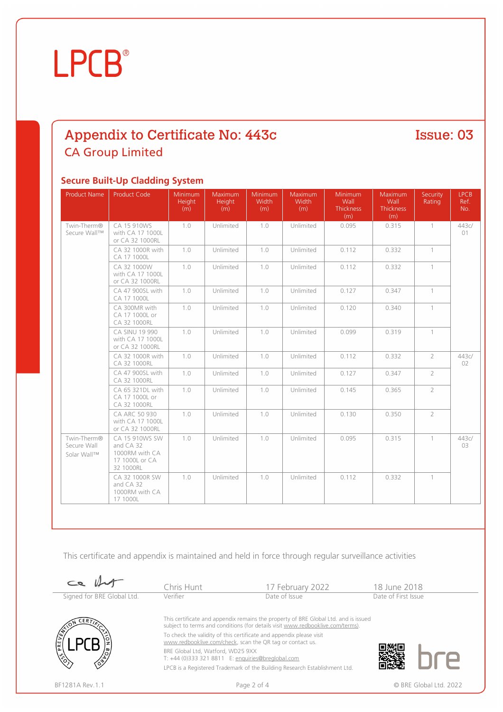# **LPCB**®

### Appendix to Certificate No: 443c **CA Group Limited**

#### Issue: 03

#### **Secure Built-Up Cladding System**

| <b>Product Name</b>                       | <b>Product Code</b>                                                          | Minimum<br>Height<br>(m) | Maximum<br><b>Height</b><br>(m) | Minimum<br>Width<br>(m) | Maximum<br>Width<br>(m) | Minimum<br>Wall<br><b>Thickness</b><br>(m) | <b>Maximum</b><br>Wall<br>Thickness<br>(m) | Security<br>Rating         | <b>LPCB</b><br>Ref.<br>No. |
|-------------------------------------------|------------------------------------------------------------------------------|--------------------------|---------------------------------|-------------------------|-------------------------|--------------------------------------------|--------------------------------------------|----------------------------|----------------------------|
| Twin-Therm®<br>Secure Wall™               | CA 15 910WS<br>with CA 17 1000L<br>or CA 32 1000RL                           | 1.0                      | Unlimited                       | 1.0                     | Unlimited               | 0.095                                      | 0.315                                      | $\mathbf{1}$               | 443c/<br>01                |
|                                           | CA 32 1000R with<br>CA 17 1000L                                              | 1.0                      | Unlimited                       | 1.0                     | Unlimited               | 0.112                                      | 0.332                                      | $\left\lceil \right\rceil$ |                            |
|                                           | CA 32 1000W<br>with CA 17 1000L<br>or CA 32 1000RL                           | 1.0                      | Unlimited                       | 1.0                     | Unlimited               | 0.112                                      | 0.332                                      | $\left\lceil \right\rceil$ |                            |
|                                           | CA 47 900SL with<br>CA 17 1000L                                              | 1.0                      | Unlimited                       | 1.0                     | Unlimited               | 0.127                                      | 0.347                                      | $\left\lceil \right\rceil$ |                            |
|                                           | CA 300MR with<br>CA 17 1000L or<br>CA 32 1000RL                              | 1.0                      | Unlimited                       | 1.0                     | Unlimited               | 0.120                                      | 0.340                                      | $\left\lceil \right\rceil$ |                            |
|                                           | CA SINU 19 990<br>with CA 17 1000L<br>or CA 32 1000RL                        | 1.0                      | Unlimited                       | 1.0                     | Unlimited               | 0.099                                      | 0.319                                      | $\mathbf{1}$               |                            |
|                                           | CA 32 1000R with<br>CA 32 1000RL                                             | 1.0                      | Unlimited                       | 1.0                     | Unlimited               | 0.112                                      | 0.332                                      | $\overline{2}$             | 443c/<br>02                |
|                                           | CA 47 900SL with<br>CA 32 1000RL                                             | 1.0                      | Unlimited                       | 1.0                     | Unlimited               | 0.127                                      | 0.347                                      | $\overline{2}$             |                            |
|                                           | CA 65 321DL with<br>CA 17 1000L or<br>CA 32 1000RL                           | 1.0                      | Unlimited                       | 1.0                     | Unlimited               | 0.145                                      | 0.365                                      | $\overline{2}$             |                            |
|                                           | CA ARC 50 930<br>with CA 17 1000L<br>or CA 32 1000RL                         | 1.0                      | Unlimited                       | 1.0                     | Unlimited               | 0.130                                      | 0.350                                      | $\overline{2}$             |                            |
| Twin-Therm®<br>Secure Wall<br>Solar Wall™ | CA 15 910WS SW<br>and CA 32<br>1000RM with CA<br>17 1000L or CA<br>32 1000RL | 1.0                      | Unlimited                       | 1.0                     | Unlimited               | 0.095                                      | 0.315                                      | $\mathbf{1}$               | 443c/<br>03                |
|                                           | CA 32 1000R SW<br>and CA 32<br>1000RM with CA<br>17 1000L                    | 1.0                      | Unlimited                       | 1.0                     | Unlimited               | 0.112                                      | 0.332                                      | $\overline{1}$             |                            |

This certificate and appendix is maintained and held in force through regular surveillance activities

|                            | Chris Hunt                                                                                                                                                            | 17 February 2022                                                           | 18 June 2018        |  |  |
|----------------------------|-----------------------------------------------------------------------------------------------------------------------------------------------------------------------|----------------------------------------------------------------------------|---------------------|--|--|
| Signed for BRE Global Ltd. | Verifier                                                                                                                                                              | Date of Issue                                                              | Date of First Issue |  |  |
| .ERT.                      | This certificate and appendix remains the property of BRE Global Ltd. and is issued<br>subject to terms and conditions (for details visit www.redbooklive.com/terms). |                                                                            |                     |  |  |
|                            | To check the validity of this certificate and appendix please visit<br>www.redbooklive.com/check, scan the QR tag or contact us.                                      |                                                                            |                     |  |  |
|                            | BRE Global Ltd, Watford, WD25 9XX<br>T: +44 (0)333 321 8811 E: enquiries@breglobal.com                                                                                |                                                                            |                     |  |  |
|                            |                                                                                                                                                                       | LPCB is a Registered Trademark of the Building Research Establishment Ltd. |                     |  |  |
| BF1281A Rev. 1.1           | Page 2 of 4                                                                                                                                                           | © BRE Global Ltd. 2022                                                     |                     |  |  |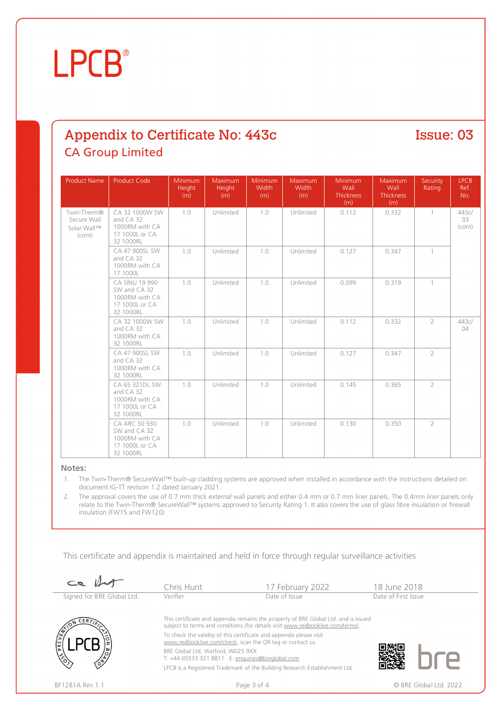## **LPCB**

### Appendix to Certificate No: 443c **CA Group Limited**

Product Name Product Code Minimum Height  $(m)$ Maximum Height Minimum Width (m) Maximum **Width** Minimum **Wall Thickness**  $(m)$ Maximum **Wall Thickness**  $(m)$ Security Rating LPCB Ref. No. Twin-Therm® Secure Wall Solar Wall™ (cont) CA 32 1000W SW and CA 32 1000RM with CA 17 1000L or CA 32 1000RL 1.0 | Unlimited | 1.0 | Unlimited | 0.112 | 0.332 | 1 | 443c/ 03 (cont) CA 47 900SL SW and CA 32 1000RM with CA 17 1000L 1.0 | Unlimited | 1.0 | Unlimited | 0.127 | 0.347 | 1 CA SINU 19 990 SW and CA 32 1000RM with CA 17 1000L or CA 32 1000RL 1.0 Unlimited 1.0 Unlimited 0.099 0.319 1 CA 32 1000W SW and CA 32 1000RM with CA 32 1000RL 1.0 | Unlimited | 1.0 | Unlimited | 0.112 | 0.332 | 2 | 443c/ 04 CA 47 900SL SW and CA 32 1000RM with CA 32 1000RL 1.0 | Unlimited | 1.0 | Unlimited | 0.127 | 0.347 | 2 CA 65 321DL SW and CA 32 1000RM with CA 17 1000L or CA 32 1000RL 1.0 Unlimited 1.0 Unlimited 0.145 0.365 2 CA ARC 50 930 SW and CA 32 1000RM with CA 17 1000L or CA 32 1000RL 1.0 | Unlimited | 1.0 | Unlimited | 0.130 | 0.350 | 2

#### **Notes:**

1. The Twin-Therm® SecureWall™ built-up cladding systems are approved when installed in accordance with the instructions detailed on document IG-TT revision 1.2 dated January 2021.

2. The approval covers the use of 0.7 mm thick external wall panels and either 0.4 mm or 0.7 mm liner panels. The 0.4mm liner panels only relate to the Twin-Therm® SecureWall™ systems approved to Security Rating 1. It also covers the use of glass fibre insulation or firewall insulation (FW15 and FW120).

This certificate and appendix is maintained and held in force through regular surveillance activities

| $\epsilon$                 | Chris Hunt                                                                                                                                                            | 17 February 2022                                                           | 18 June 2018        |  |  |
|----------------------------|-----------------------------------------------------------------------------------------------------------------------------------------------------------------------|----------------------------------------------------------------------------|---------------------|--|--|
| Signed for BRE Global Ltd. | Verifier                                                                                                                                                              | Date of Issue                                                              | Date of First Issue |  |  |
| <b>CERTT</b><br>$\delta$   | This certificate and appendix remains the property of BRE Global Ltd. and is issued<br>subject to terms and conditions (for details visit www.redbooklive.com/terms). |                                                                            |                     |  |  |
|                            | To check the validity of this certificate and appendix please visit<br>www.redbooklive.com/check, scan the QR tag or contact us.                                      |                                                                            |                     |  |  |
|                            | BRE Global Ltd, Watford, WD25 9XX<br>T: +44 (0)333 321 8811 E: enquiries@breglobal.com                                                                                |                                                                            |                     |  |  |
|                            |                                                                                                                                                                       | LPCB is a Registered Trademark of the Building Research Establishment Ltd. |                     |  |  |
| BF1281A Rev. 1.1           | Page 3 of 4                                                                                                                                                           | © BRE Global Ltd. 2022                                                     |                     |  |  |



Issue: 03